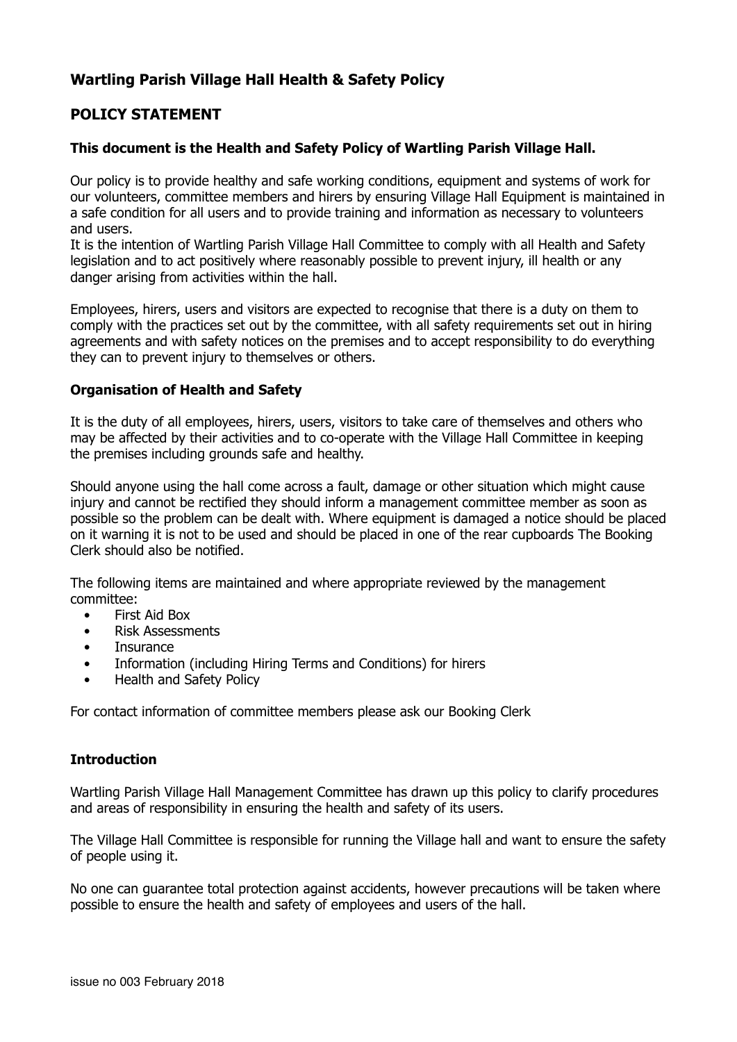## **Wartling Parish Village Hall Health & Safety Policy**

## **POLICY STATEMENT**

## **This document is the Health and Safety Policy of Wartling Parish Village Hall.**

Our policy is to provide healthy and safe working conditions, equipment and systems of work for our volunteers, committee members and hirers by ensuring Village Hall Equipment is maintained in a safe condition for all users and to provide training and information as necessary to volunteers and users.

It is the intention of Wartling Parish Village Hall Committee to comply with all Health and Safety legislation and to act positively where reasonably possible to prevent injury, ill health or any danger arising from activities within the hall.

Employees, hirers, users and visitors are expected to recognise that there is a duty on them to comply with the practices set out by the committee, with all safety requirements set out in hiring agreements and with safety notices on the premises and to accept responsibility to do everything they can to prevent injury to themselves or others.

### **Organisation of Health and Safety**

It is the duty of all employees, hirers, users, visitors to take care of themselves and others who may be affected by their activities and to co-operate with the Village Hall Committee in keeping the premises including grounds safe and healthy.

Should anyone using the hall come across a fault, damage or other situation which might cause injury and cannot be rectified they should inform a management committee member as soon as possible so the problem can be dealt with. Where equipment is damaged a notice should be placed on it warning it is not to be used and should be placed in one of the rear cupboards The Booking Clerk should also be notified.

The following items are maintained and where appropriate reviewed by the management committee:

- First Aid Box
- Risk Assessments
- **Insurance**
- Information (including Hiring Terms and Conditions) for hirers
- Health and Safety Policy

For contact information of committee members please ask our Booking Clerk

## **Introduction**

Wartling Parish Village Hall Management Committee has drawn up this policy to clarify procedures and areas of responsibility in ensuring the health and safety of its users.

The Village Hall Committee is responsible for running the Village hall and want to ensure the safety of people using it.

No one can guarantee total protection against accidents, however precautions will be taken where possible to ensure the health and safety of employees and users of the hall.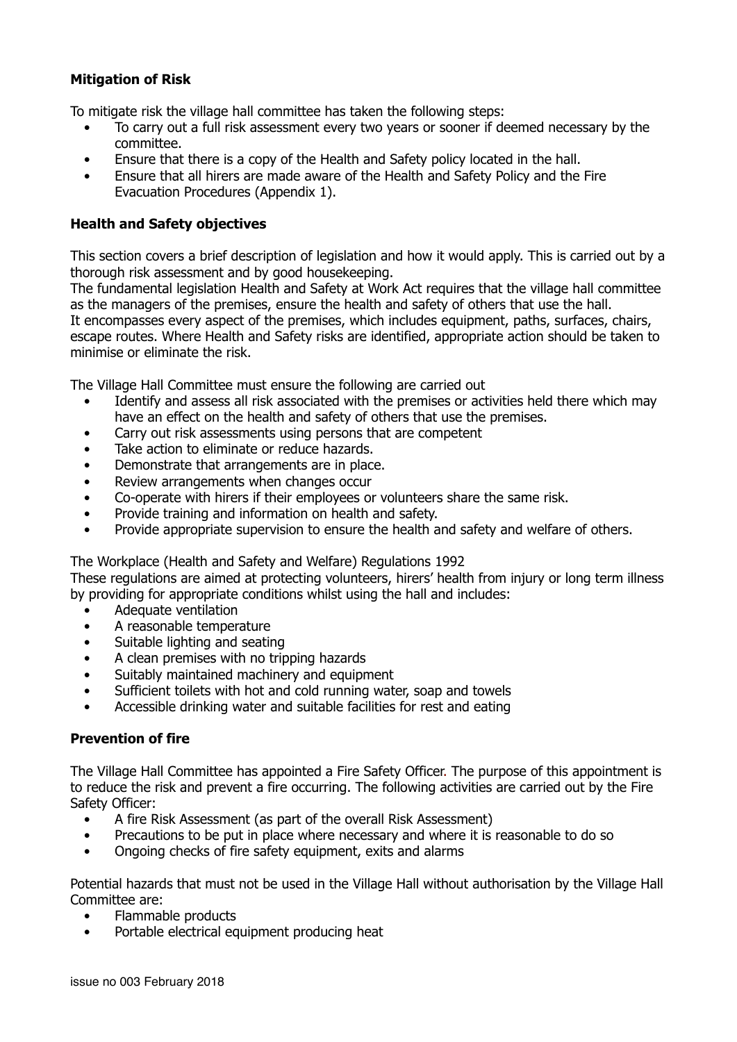## **Mitigation of Risk**

To mitigate risk the village hall committee has taken the following steps:

- To carry out a full risk assessment every two years or sooner if deemed necessary by the committee.
- Ensure that there is a copy of the Health and Safety policy located in the hall.
- Ensure that all hirers are made aware of the Health and Safety Policy and the Fire Evacuation Procedures (Appendix 1).

### **Health and Safety objectives**

This section covers a brief description of legislation and how it would apply. This is carried out by a thorough risk assessment and by good housekeeping.

The fundamental legislation Health and Safety at Work Act requires that the village hall committee as the managers of the premises, ensure the health and safety of others that use the hall. It encompasses every aspect of the premises, which includes equipment, paths, surfaces, chairs, escape routes. Where Health and Safety risks are identified, appropriate action should be taken to minimise or eliminate the risk.

The Village Hall Committee must ensure the following are carried out

- Identify and assess all risk associated with the premises or activities held there which may have an effect on the health and safety of others that use the premises.
- Carry out risk assessments using persons that are competent
- Take action to eliminate or reduce hazards.
- Demonstrate that arrangements are in place.
- Review arrangements when changes occur
- Co-operate with hirers if their employees or volunteers share the same risk.
- Provide training and information on health and safety.
- Provide appropriate supervision to ensure the health and safety and welfare of others.

## The Workplace (Health and Safety and Welfare) Regulations 1992

These regulations are aimed at protecting volunteers, hirers' health from injury or long term illness by providing for appropriate conditions whilst using the hall and includes:

- Adequate ventilation
- A reasonable temperature
- Suitable lighting and seating
- A clean premises with no tripping hazards
- Suitably maintained machinery and equipment
- Sufficient toilets with hot and cold running water, soap and towels
- Accessible drinking water and suitable facilities for rest and eating

### **Prevention of fire**

The Village Hall Committee has appointed a Fire Safety Officer. The purpose of this appointment is to reduce the risk and prevent a fire occurring. The following activities are carried out by the Fire Safety Officer:

- A fire Risk Assessment (as part of the overall Risk Assessment)
- Precautions to be put in place where necessary and where it is reasonable to do so
- Ongoing checks of fire safety equipment, exits and alarms

Potential hazards that must not be used in the Village Hall without authorisation by the Village Hall Committee are:

- Flammable products
- Portable electrical equipment producing heat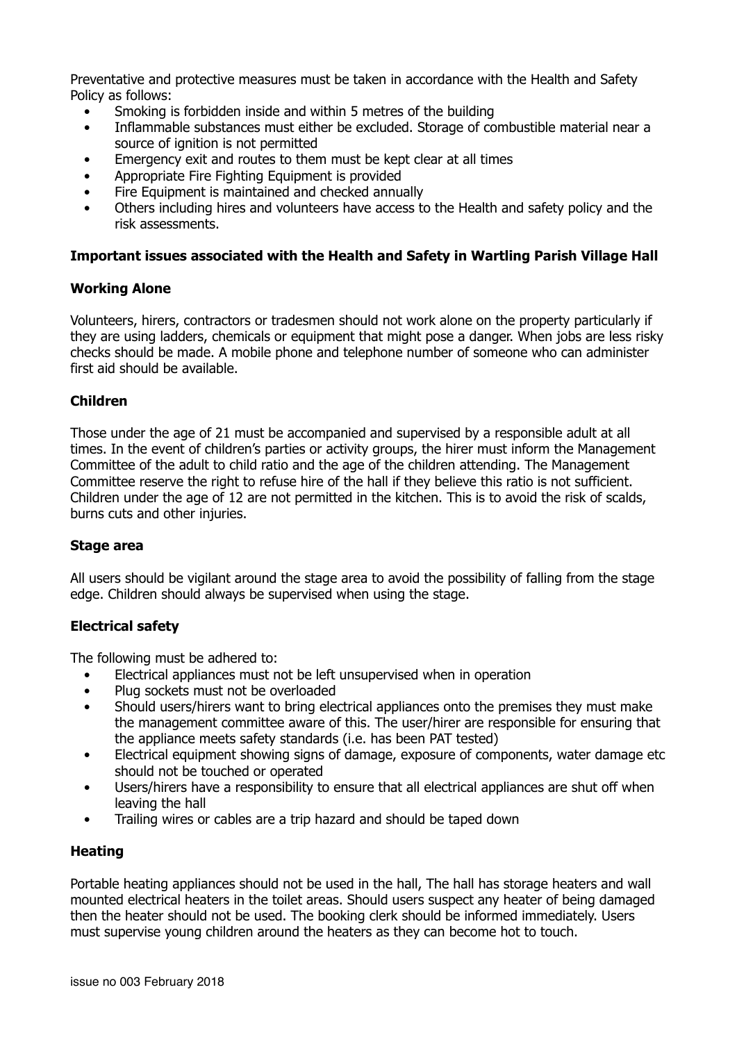Preventative and protective measures must be taken in accordance with the Health and Safety Policy as follows:

- Smoking is forbidden inside and within 5 metres of the building
- Inflammable substances must either be excluded. Storage of combustible material near a source of ignition is not permitted
- Emergency exit and routes to them must be kept clear at all times
- Appropriate Fire Fighting Equipment is provided
- Fire Equipment is maintained and checked annually
- Others including hires and volunteers have access to the Health and safety policy and the risk assessments.

#### **Important issues associated with the Health and Safety in Wartling Parish Village Hall**

### **Working Alone**

Volunteers, hirers, contractors or tradesmen should not work alone on the property particularly if they are using ladders, chemicals or equipment that might pose a danger. When jobs are less risky checks should be made. A mobile phone and telephone number of someone who can administer first aid should be available.

#### **Children**

Those under the age of 21 must be accompanied and supervised by a responsible adult at all times. In the event of children's parties or activity groups, the hirer must inform the Management Committee of the adult to child ratio and the age of the children attending. The Management Committee reserve the right to refuse hire of the hall if they believe this ratio is not sufficient. Children under the age of 12 are not permitted in the kitchen. This is to avoid the risk of scalds, burns cuts and other injuries.

#### **Stage area**

All users should be vigilant around the stage area to avoid the possibility of falling from the stage edge. Children should always be supervised when using the stage.

### **Electrical safety**

The following must be adhered to:

- Electrical appliances must not be left unsupervised when in operation
- Plug sockets must not be overloaded
- Should users/hirers want to bring electrical appliances onto the premises they must make the management committee aware of this. The user/hirer are responsible for ensuring that the appliance meets safety standards (i.e. has been PAT tested)
- Electrical equipment showing signs of damage, exposure of components, water damage etc should not be touched or operated
- Users/hirers have a responsibility to ensure that all electrical appliances are shut off when leaving the hall
- Trailing wires or cables are a trip hazard and should be taped down

## **Heating**

Portable heating appliances should not be used in the hall, The hall has storage heaters and wall mounted electrical heaters in the toilet areas. Should users suspect any heater of being damaged then the heater should not be used. The booking clerk should be informed immediately. Users must supervise young children around the heaters as they can become hot to touch.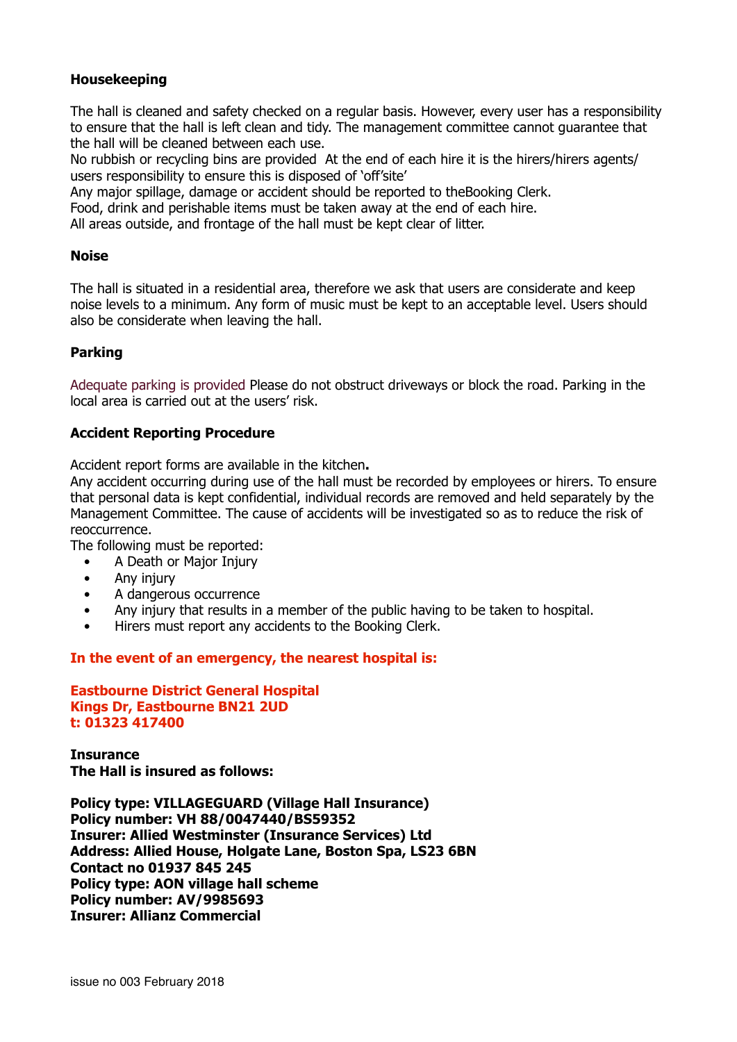## **Housekeeping**

The hall is cleaned and safety checked on a regular basis. However, every user has a responsibility to ensure that the hall is left clean and tidy. The management committee cannot guarantee that the hall will be cleaned between each use.

No rubbish or recycling bins are provided At the end of each hire it is the hirers/hirers agents/ users responsibility to ensure this is disposed of 'off'site'

Any major spillage, damage or accident should be reported to theBooking Clerk.

Food, drink and perishable items must be taken away at the end of each hire.

All areas outside, and frontage of the hall must be kept clear of litter.

### **Noise**

The hall is situated in a residential area, therefore we ask that users are considerate and keep noise levels to a minimum. Any form of music must be kept to an acceptable level. Users should also be considerate when leaving the hall.

## **Parking**

Adequate parking is provided Please do not obstruct driveways or block the road. Parking in the local area is carried out at the users' risk.

### **Accident Reporting Procedure**

Accident report forms are available in the kitchen**.**

Any accident occurring during use of the hall must be recorded by employees or hirers. To ensure that personal data is kept confidential, individual records are removed and held separately by the Management Committee. The cause of accidents will be investigated so as to reduce the risk of reoccurrence.

The following must be reported:

- A Death or Major Injury
- Any injury
- A dangerous occurrence
- Any injury that results in a member of the public having to be taken to hospital.
- Hirers must report any accidents to the Booking Clerk.

**In the event of an emergency, the nearest hospital is:**

**Eastbourne District General Hospital Kings Dr, Eastbourne BN21 2UD t: 01323 417400**

**Insurance The Hall is insured as follows:**

**Policy type: VILLAGEGUARD (Village Hall Insurance) Policy number: VH 88/0047440/BS59352 Insurer: Allied Westminster (Insurance Services) Ltd Address: Allied House, Holgate Lane, Boston Spa, LS23 6BN Contact no 01937 845 245 Policy type: AON village hall scheme Policy number: AV/9985693 Insurer: Allianz Commercial**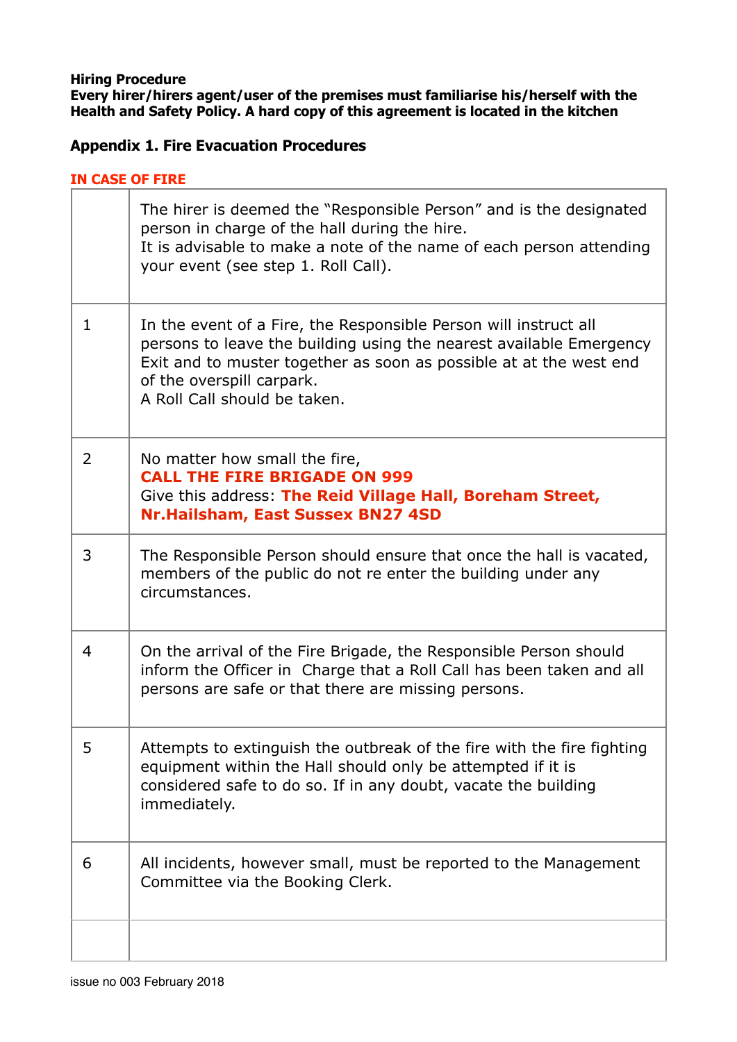**Hiring Procedure Every hirer/hirers agent/user of the premises must familiarise his/herself with the Health and Safety Policy. A hard copy of this agreement is located in the kitchen**

# **Appendix 1. Fire Evacuation Procedures**

## **IN CASE OF FIRE**

|                | The hirer is deemed the "Responsible Person" and is the designated<br>person in charge of the hall during the hire.<br>It is advisable to make a note of the name of each person attending<br>your event (see step 1. Roll Call).                                          |
|----------------|----------------------------------------------------------------------------------------------------------------------------------------------------------------------------------------------------------------------------------------------------------------------------|
| $\mathbf{1}$   | In the event of a Fire, the Responsible Person will instruct all<br>persons to leave the building using the nearest available Emergency<br>Exit and to muster together as soon as possible at at the west end<br>of the overspill carpark.<br>A Roll Call should be taken. |
| $\overline{2}$ | No matter how small the fire,<br><b>CALL THE FIRE BRIGADE ON 999</b><br>Give this address: The Reid Village Hall, Boreham Street,<br>Nr.Hailsham, East Sussex BN27 4SD                                                                                                     |
| 3              | The Responsible Person should ensure that once the hall is vacated,<br>members of the public do not re enter the building under any<br>circumstances.                                                                                                                      |
| 4              | On the arrival of the Fire Brigade, the Responsible Person should<br>inform the Officer in Charge that a Roll Call has been taken and all<br>persons are safe or that there are missing persons.                                                                           |
| 5              | Attempts to extinguish the outbreak of the fire with the fire fighting<br>equipment within the Hall should only be attempted if it is<br>considered safe to do so. If in any doubt, vacate the building<br>immediately.                                                    |
| 6              | All incidents, however small, must be reported to the Management<br>Committee via the Booking Clerk.                                                                                                                                                                       |
|                |                                                                                                                                                                                                                                                                            |